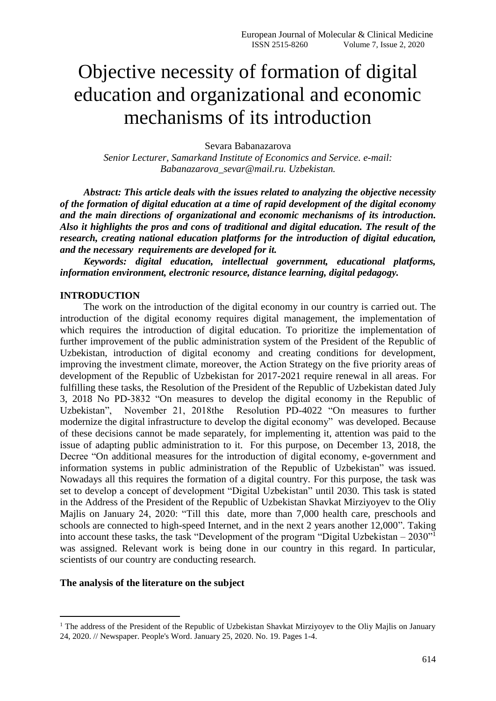# Objective necessity of formation of digital education and organizational and economic mechanisms of its introduction

Sevara Babanazarova

*Senior Lecturer, Samarkand Institute of Economics and Service. e-mail: Babanazarova\_sevar@mail.ru. Uzbekistan.*

*Abstract: This article deals with the issues related to analyzing the objective necessity of the formation of digital education at a time of rapid development of the digital economy and the main directions of organizational and economic mechanisms of its introduction. Also it highlights the pros and cons of traditional and digital education. The result of the research, creating national education platforms for the introduction of digital education, and the necessary requirements are developed for it.*

*Keywords: digital education, intellectual government, educational platforms, information environment, electronic resource, distance learning, digital pedagogy.*

### **INTRODUCTION**

The work on the introduction of the digital economy in our country is carried out. The introduction of the digital economy requires digital management, the implementation of which requires the introduction of digital education. To prioritize the implementation of further improvement of the public administration system of the President of the Republic of Uzbekistan, introduction of digital economy and creating conditions for development, improving the investment climate, moreover, the Action Strategy on the five priority areas of development of the Republic of Uzbekistan for 2017-2021 require renewal in all areas. For fulfilling these tasks, the Resolution of the President of the Republic of Uzbekistan dated July 3, 2018 No PD-3832 "On measures to develop the digital economy in the Republic of Uzbekistan", November 21, 2018the Resolution PD-4022 "On measures to further modernize the digital infrastructure to develop the digital economy" was developed. Because of these decisions cannot be made separately, for implementing it, attention was paid to the issue of adapting public administration to it. For this purpose, on December 13, 2018, the Decree "On additional measures for the introduction of digital economy, e-government and information systems in public administration of the Republic of Uzbekistan" was issued. Nowadays all this requires the formation of a digital country. For this purpose, the task was set to develop a concept of development "Digital Uzbekistan" until 2030. This task is stated in the Address of the President of the Republic of Uzbekistan Shavkat Mirziyoyev to the Oliy Majlis on January 24, 2020: "Till this date, more than 7,000 health care, preschools and schools are connected to high-speed Internet, and in the next 2 years another 12,000". Taking into account these tasks, the task "Development of the program "Digital Uzbekistan – 2030"<sup>1</sup> was assigned. Relevant work is being done in our country in this regard. In particular, scientists of our country are conducting research.

#### **The analysis of the literature on the subject**

 $\overline{a}$ 

<sup>&</sup>lt;sup>1</sup> The address of the President of the Republic of Uzbekistan Shavkat Mirziyoyev to the Oliy Mailis on January 24, 2020. // Newspaper. People's Word. January 25, 2020. No. 19. Pages 1-4.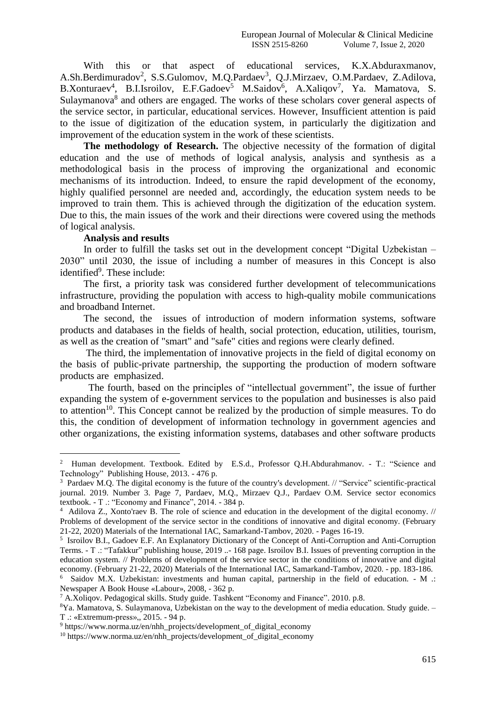With this or that aspect of educational services, K.X.Abduraxmanov, A.Sh.Berdimuradov<sup>2</sup>, S.S.Gulomov, M.Q.Pardaev<sup>3</sup>, Q.J.Mirzaev, O.M.Pardaev, Z.Adilova, B.Xonturaev<sup>4</sup>, B.I.Isroilov, E.F.Gadoev<sup>5</sup> M.Saidov<sup>6</sup>, A.Xaliqov<sup>7</sup>, Ya. Mamatova, S. Sulaymanova<sup>8</sup> and others are engaged. The works of these scholars cover general aspects of the service sector, in particular, educational services. However, Insufficient attention is paid to the issue of digitization of the education system, in particularly the digitization and improvement of the education system in the work of these scientists.

**The methodology of Research.** The objective necessity of the formation of digital education and the use of methods of logical analysis, analysis and synthesis as a methodological basis in the process of improving the organizational and economic mechanisms of its introduction. Indeed, to ensure the rapid development of the economy, highly qualified personnel are needed and, accordingly, the education system needs to be improved to train them. This is achieved through the digitization of the education system. Due to this, the main issues of the work and their directions were covered using the methods of logical analysis.

#### **Analysis and results**

-

In order to fulfill the tasks set out in the development concept "Digital Uzbekistan – 2030" until 2030, the issue of including a number of measures in this Concept is also identified<sup>9</sup>. These include:

The first, a priority task was considered further development of telecommunications infrastructure, providing the population with access to high-quality mobile communications and broadband Internet.

The second, the issues of introduction of modern information systems, software products and databases in the fields of health, social protection, education, utilities, tourism, as well as the creation of "smart" and "safe" cities and regions were clearly defined.

The third, the implementation of innovative projects in the field of digital economy on the basis of public-private partnership, the supporting the production of modern software products are emphasized.

 The fourth, based on the principles of "intellectual government", the issue of further expanding the system of e-government services to the population and businesses is also paid to attention<sup>10</sup>. This Concept cannot be realized by the production of simple measures. To do this, the condition of development of information technology in government agencies and other organizations, the existing information systems, databases and other software products

<sup>&</sup>lt;sup>2</sup> Human development. Textbook. Edited by E.S.d., Professor Q.H.Abdurahmanov. - T.: "Science and Technology" Publishing House, 2013. - 476 p.

<sup>&</sup>lt;sup>3</sup> Pardaev M.Q. The digital economy is the future of the country's development. // "Service" scientific-practical journal. 2019. Number 3. Page 7, Pardaev, M.Q., Mirzaev Q.J., Pardaev O.M. Service sector economics textbook. - T .: "Economy and Finance", 2014. - 384 p.

<sup>4</sup> Adilova Z., Xonto'raev B. The role of science and education in the development of the digital economy. // Problems of development of the service sector in the conditions of innovative and digital economy. (February 21-22, 2020) Materials of the International IAC, Samarkand-Tambov, 2020. - Pages 16-19.

<sup>5</sup> Isroilov B.I., Gadoev E.F. An Explanatory Dictionary of the Concept of Anti-Corruption and Anti-Corruption Terms. - T .: "Tafakkur" publishing house, 2019 ..- 168 page. Isroilov B.I. Issues of preventing corruption in the education system. // Problems of development of the service sector in the conditions of innovative and digital economy. (February 21-22, 2020) Materials of the International IAC, Samarkand-Tambov, 2020. - pp. 183-186.

<sup>6</sup> Saidov M.X. Uzbekistan: investments and human capital, partnership in the field of education. - M .: Newspaper A Book House «Labour», 2008, - 362 p.

<sup>7</sup> A.Xoliqov. Pedagogical skills. Study guide. Tashkent "Economy and Finance". 2010. p.8.

<sup>8</sup>Ya. Mamatova, S. Sulaymanova, Uzbekistan on the way to the development of media education. Study guide. – T .: «Extremum-рress»,, 2015. - 94 p.

<sup>&</sup>lt;sup>9</sup> https://www.norma.uz/en/nhh\_projects/development\_of\_digital\_economy

 $10$  https://www.norma.uz/en/nhh\_projects/development\_of\_digital\_economy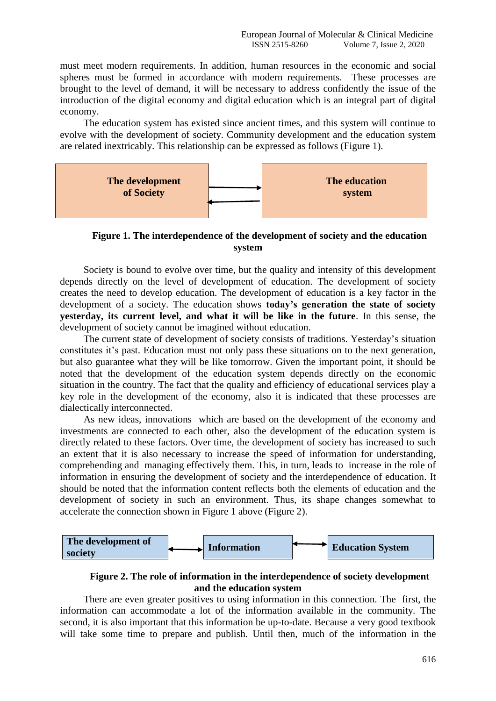must meet modern requirements. In addition, human resources in the economic and social spheres must be formed in accordance with modern requirements. These processes are brought to the level of demand, it will be necessary to address confidently the issue of the introduction of the digital economy and digital education which is an integral part of digital economy.

The education system has existed since ancient times, and this system will continue to evolve with the development of society. Community development and the education system are related inextricably. This relationship can be expressed as follows (Figure 1).



**Figure 1. The interdependence of the development of society and the education system**

Society is bound to evolve over time, but the quality and intensity of this development depends directly on the level of development of education. The development of society creates the need to develop education. The development of education is a key factor in the development of a society. The education shows **today's generation the state of society yesterday, its current level, and what it will be like in the future**. In this sense, the development of society cannot be imagined without education.

The current state of development of society consists of traditions. Yesterday's situation constitutes it's past. Education must not only pass these situations on to the next generation, but also guarantee what they will be like tomorrow. Given the important point, it should be noted that the development of the education system depends directly on the economic situation in the country. The fact that the quality and efficiency of educational services play a key role in the development of the economy, also it is indicated that these processes are dialectically interconnected.

As new ideas, innovations which are based on the development of the economy and investments are connected to each other, also the development of the education system is directly related to these factors. Over time, the development of society has increased to such an extent that it is also necessary to increase the speed of information for understanding, comprehending and managing effectively them. This, in turn, leads to increase in the role of information in ensuring the development of society and the interdependence of education. It should be noted that the information content reflects both the elements of education and the development of society in such an environment. Thus, its shape changes somewhat to accelerate the connection shown in Figure 1 above (Figure 2).



## **Figure 2. The role of information in the interdependence of society development and the education system**

There are even greater positives to using information in this connection. The first, the information can accommodate a lot of the information available in the community. The second, it is also important that this information be up-to-date. Because a very good textbook will take some time to prepare and publish. Until then, much of the information in the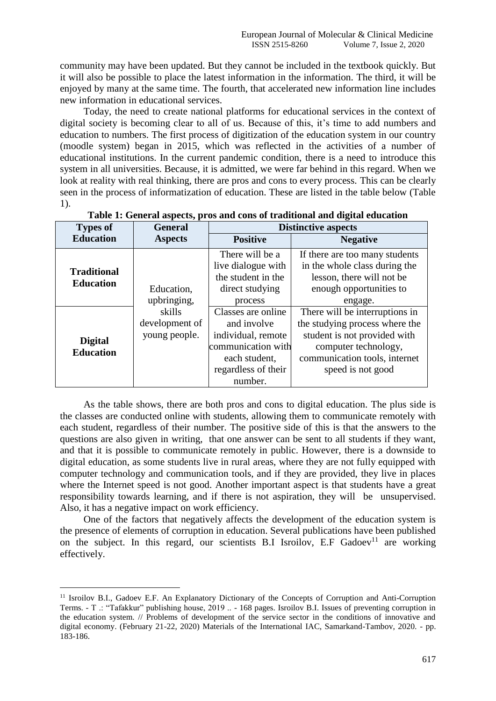community may have been updated. But they cannot be included in the textbook quickly. But it will also be possible to place the latest information in the information. The third, it will be enjoyed by many at the same time. The fourth, that accelerated new information line includes new information in educational services.

Today, the need to create national platforms for educational services in the context of digital society is becoming clear to all of us. Because of this, it's time to add numbers and education to numbers. The first process of digitization of the education system in our country (moodle system) began in 2015, which was reflected in the activities of a number of educational institutions. In the current pandemic condition, there is a need to introduce this system in all universities. Because, it is admitted, we were far behind in this regard. When we look at reality with real thinking, there are pros and cons to every process. This can be clearly seen in the process of informatization of education. These are listed in the table below (Table 1).

| <b>Types of</b>                    | <b>General</b> | <b>Distinctive aspects</b>               |                                                            |  |
|------------------------------------|----------------|------------------------------------------|------------------------------------------------------------|--|
| <b>Education</b>                   | <b>Aspects</b> | <b>Positive</b>                          | <b>Negative</b>                                            |  |
|                                    |                | There will be a                          | If there are too many students                             |  |
| <b>Traditional</b>                 |                | live dialogue with<br>the student in the | in the whole class during the<br>lesson, there will not be |  |
| <b>Education</b>                   | Education,     | direct studying                          | enough opportunities to                                    |  |
|                                    | upbringing,    | process                                  | engage.                                                    |  |
|                                    | skills         | Classes are online                       | There will be interruptions in                             |  |
|                                    | development of | and involve                              | the studying process where the                             |  |
|                                    | young people.  | individual, remote                       | student is not provided with                               |  |
| <b>Digital</b><br><b>Education</b> |                | communication with                       | computer technology,                                       |  |
|                                    |                | each student,                            | communication tools, internet                              |  |
|                                    |                | regardless of their                      | speed is not good                                          |  |
|                                    |                | number.                                  |                                                            |  |

|  | Table 1: General aspects, pros and cons of traditional and digital education |  |
|--|------------------------------------------------------------------------------|--|
|--|------------------------------------------------------------------------------|--|

As the table shows, there are both pros and cons to digital education. The plus side is the classes are conducted online with students, allowing them to communicate remotely with each student, regardless of their number. The positive side of this is that the answers to the questions are also given in writing, that one answer can be sent to all students if they want, and that it is possible to communicate remotely in public. However, there is a downside to digital education, as some students live in rural areas, where they are not fully equipped with computer technology and communication tools, and if they are provided, they live in places where the Internet speed is not good. Another important aspect is that students have a great responsibility towards learning, and if there is not aspiration, they will be unsupervised. Also, it has a negative impact on work efficiency.

One of the factors that negatively affects the development of the education system is the presence of elements of corruption in education. Several publications have been published on the subject. In this regard, our scientists B.I Isroilov, E.F Gadoev<sup>11</sup> are working effectively.

 $\overline{a}$ 

<sup>11</sup> Isroilov B.I., Gadoev E.F. An Explanatory Dictionary of the Concepts of Corruption and Anti-Corruption Terms. - T .: "Tafakkur" publishing house, 2019 .. - 168 pages. Isroilov B.I. Issues of preventing corruption in the education system. // Problems of development of the service sector in the conditions of innovative and digital economy. (February 21-22, 2020) Materials of the International IAC, Samarkand-Tambov, 2020. - pp. 183-186.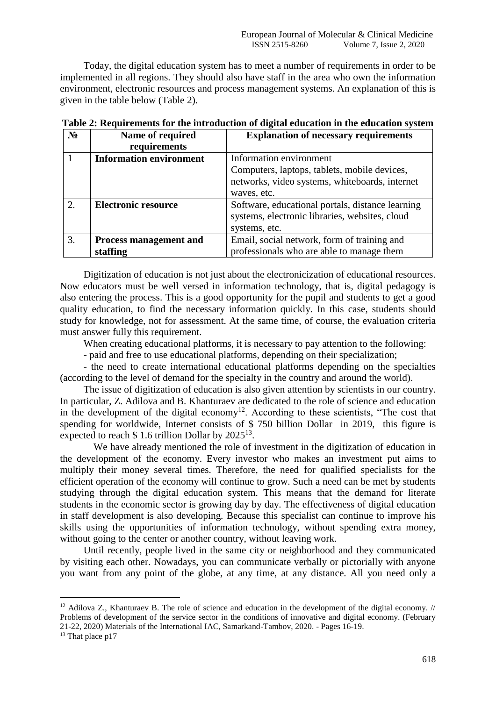Today, the digital education system has to meet a number of requirements in order to be implemented in all regions. They should also have staff in the area who own the information environment, electronic resources and process management systems. An explanation of this is given in the table below (Table 2).

| $N_2$ | Name of required               | <b>Explanation of necessary requirements</b>     |
|-------|--------------------------------|--------------------------------------------------|
|       | requirements                   |                                                  |
|       | <b>Information environment</b> | Information environment                          |
|       |                                | Computers, laptops, tablets, mobile devices,     |
|       |                                | networks, video systems, whiteboards, internet   |
|       |                                | waves, etc.                                      |
| 2.    | <b>Electronic resource</b>     | Software, educational portals, distance learning |
|       |                                | systems, electronic libraries, websites, cloud   |
|       |                                | systems, etc.                                    |
| 3.    | Process management and         | Email, social network, form of training and      |
|       | staffing                       | professionals who are able to manage them        |

| Table 2: Requirements for the introduction of digital education in the education system |  |  |
|-----------------------------------------------------------------------------------------|--|--|
|-----------------------------------------------------------------------------------------|--|--|

Digitization of education is not just about the electronicization of educational resources. Now educators must be well versed in information technology, that is, digital pedagogy is also entering the process. This is a good opportunity for the pupil and students to get a good quality education, to find the necessary information quickly. In this case, students should study for knowledge, not for assessment. At the same time, of course, the evaluation criteria must answer fully this requirement.

When creating educational platforms, it is necessary to pay attention to the following:

- paid and free to use educational platforms, depending on their specialization;

- the need to create international educational platforms depending on the specialties (according to the level of demand for the specialty in the country and around the world).

The issue of digitization of education is also given attention by scientists in our country. In particular, Z. Adilova and B. Khanturaev are dedicated to the role of science and education in the development of the digital economy<sup>12</sup>. According to these scientists, "The cost that spending for worldwide, Internet consists of \$ 750 billion Dollar in 2019, this figure is expected to reach  $$ 1.6$  trillion Dollar by  $2025^{13}$ .

 We have already mentioned the role of investment in the digitization of education in the development of the economy. Every investor who makes an investment put aims to multiply their money several times. Therefore, the need for qualified specialists for the efficient operation of the economy will continue to grow. Such a need can be met by students studying through the digital education system. This means that the demand for literate students in the economic sector is growing day by day. The effectiveness of digital education in staff development is also developing. Because this specialist can continue to improve his skills using the opportunities of information technology, without spending extra money, without going to the center or another country, without leaving work.

Until recently, people lived in the same city or neighborhood and they communicated by visiting each other. Nowadays, you can communicate verbally or pictorially with anyone you want from any point of the globe, at any time, at any distance. All you need only a

-

<sup>&</sup>lt;sup>12</sup> Adilova Z., Khanturaev B. The role of science and education in the development of the digital economy. // Problems of development of the service sector in the conditions of innovative and digital economy. (February 21-22, 2020) Materials of the International IAC, Samarkand-Tambov, 2020. - Pages 16-19.

<sup>&</sup>lt;sup>13</sup> That place p17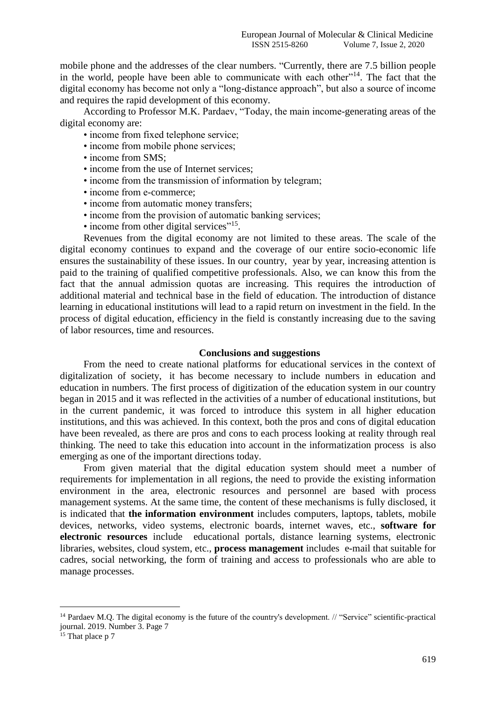mobile phone and the addresses of the clear numbers. "Currently, there are 7.5 billion people in the world, people have been able to communicate with each other"<sup>14</sup>. The fact that the digital economy has become not only a "long-distance approach", but also a source of income and requires the rapid development of this economy.

According to Professor M.K. Pardaev, "Today, the main income-generating areas of the digital economy are:

- income from fixed telephone service;
- income from mobile phone services;
- income from SMS;
- income from the use of Internet services;
- income from the transmission of information by telegram;
- income from e-commerce;
- income from automatic money transfers;
- income from the provision of automatic banking services:
- income from other digital services"<sup>15</sup>.

Revenues from the digital economy are not limited to these areas. The scale of the digital economy continues to expand and the coverage of our entire socio-economic life ensures the sustainability of these issues. In our country, year by year, increasing attention is paid to the training of qualified competitive professionals. Also, we can know this from the fact that the annual admission quotas are increasing. This requires the introduction of additional material and technical base in the field of education. The introduction of distance learning in educational institutions will lead to a rapid return on investment in the field. In the process of digital education, efficiency in the field is constantly increasing due to the saving of labor resources, time and resources.

#### **Conclusions and suggestions**

From the need to create national platforms for educational services in the context of digitalization of society, it has become necessary to include numbers in education and education in numbers. The first process of digitization of the education system in our country began in 2015 and it was reflected in the activities of a number of educational institutions, but in the current pandemic, it was forced to introduce this system in all higher education institutions, and this was achieved. In this context, both the pros and cons of digital education have been revealed, as there are pros and cons to each process looking at reality through real thinking. The need to take this education into account in the informatization process is also emerging as one of the important directions today.

From given material that the digital education system should meet a number of requirements for implementation in all regions, the need to provide the existing information environment in the area, electronic resources and personnel are based with process management systems. At the same time, the content of these mechanisms is fully disclosed, it is indicated that **the information environment** includes computers, laptops, tablets, mobile devices, networks, video systems, electronic boards, internet waves, etc., **software for electronic resources** include educational portals, distance learning systems, electronic libraries, websites, cloud system, etc., **process management** includes e-mail that suitable for cadres, social networking, the form of training and access to professionals who are able to manage processes.

 $\overline{a}$ 

<sup>&</sup>lt;sup>14</sup> Pardaev M.Q. The digital economy is the future of the country's development. // "Service" scientific-practical journal. 2019. Number 3. Page 7

 $15$  That place p 7